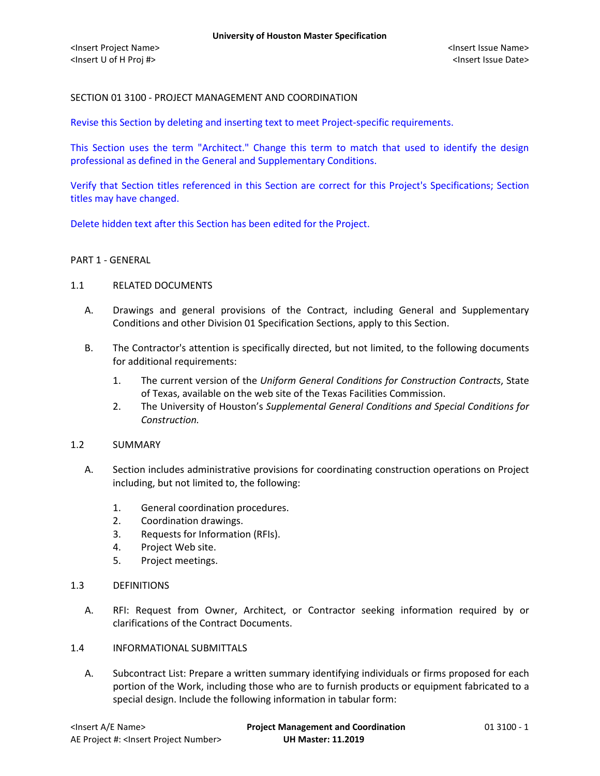## SECTION 01 3100 - PROJECT MANAGEMENT AND COORDINATION

Revise this Section by deleting and inserting text to meet Project-specific requirements.

This Section uses the term "Architect." Change this term to match that used to identify the design professional as defined in the General and Supplementary Conditions.

Verify that Section titles referenced in this Section are correct for this Project's Specifications; Section titles may have changed.

Delete hidden text after this Section has been edited for the Project.

### PART 1 - GENERAL

#### 1.1 RELATED DOCUMENTS

- A. Drawings and general provisions of the Contract, including General and Supplementary Conditions and other Division 01 Specification Sections, apply to this Section.
- B. The Contractor's attention is specifically directed, but not limited, to the following documents for additional requirements:
	- 1. The current version of the *Uniform General Conditions for Construction Contracts*, State of Texas, available on the web site of the Texas Facilities Commission.
	- 2. The University of Houston's *Supplemental General Conditions and Special Conditions for Construction.*

### 1.2 SUMMARY

- A. Section includes administrative provisions for coordinating construction operations on Project including, but not limited to, the following:
	- 1. General coordination procedures.
	- 2. Coordination drawings.
	- 3. Requests for Information (RFIs).
	- 4. Project Web site.
	- 5. Project meetings.
- 1.3 DEFINITIONS
	- A. RFI: Request from Owner, Architect, or Contractor seeking information required by or clarifications of the Contract Documents.
- 1.4 INFORMATIONAL SUBMITTALS
	- A. Subcontract List: Prepare a written summary identifying individuals or firms proposed for each portion of the Work, including those who are to furnish products or equipment fabricated to a special design. Include the following information in tabular form: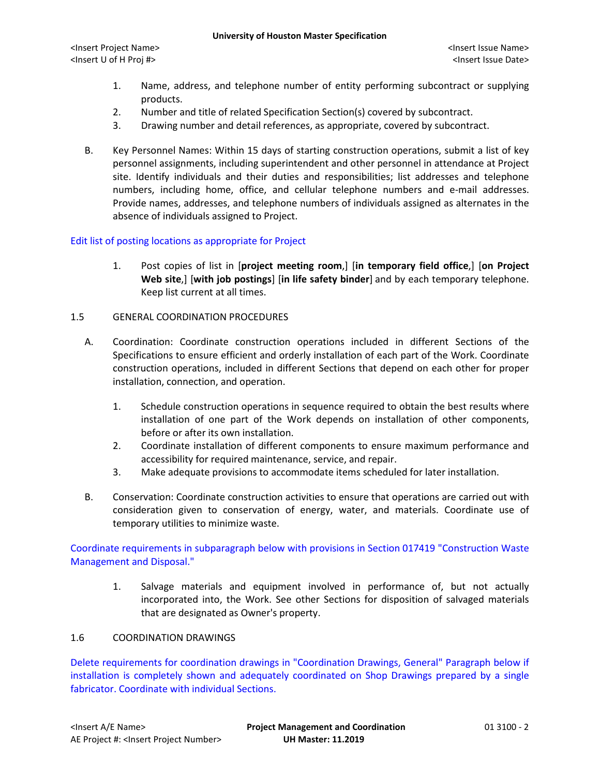- 1. Name, address, and telephone number of entity performing subcontract or supplying products.
- 2. Number and title of related Specification Section(s) covered by subcontract.
- 3. Drawing number and detail references, as appropriate, covered by subcontract.
- B. Key Personnel Names: Within 15 days of starting construction operations, submit a list of key personnel assignments, including superintendent and other personnel in attendance at Project site. Identify individuals and their duties and responsibilities; list addresses and telephone numbers, including home, office, and cellular telephone numbers and e-mail addresses. Provide names, addresses, and telephone numbers of individuals assigned as alternates in the absence of individuals assigned to Project.

### Edit list of posting locations as appropriate for Project

1. Post copies of list in [**project meeting room**,] [**in temporary field office**,] [**on Project Web site**,] [**with job postings**] [**in life safety binder**] and by each temporary telephone. Keep list current at all times.

### 1.5 GENERAL COORDINATION PROCEDURES

- A. Coordination: Coordinate construction operations included in different Sections of the Specifications to ensure efficient and orderly installation of each part of the Work. Coordinate construction operations, included in different Sections that depend on each other for proper installation, connection, and operation.
	- 1. Schedule construction operations in sequence required to obtain the best results where installation of one part of the Work depends on installation of other components, before or after its own installation.
	- 2. Coordinate installation of different components to ensure maximum performance and accessibility for required maintenance, service, and repair.
	- 3. Make adequate provisions to accommodate items scheduled for later installation.
- B. Conservation: Coordinate construction activities to ensure that operations are carried out with consideration given to conservation of energy, water, and materials. Coordinate use of temporary utilities to minimize waste.

Coordinate requirements in subparagraph below with provisions in Section 017419 "Construction Waste Management and Disposal."

1. Salvage materials and equipment involved in performance of, but not actually incorporated into, the Work. See other Sections for disposition of salvaged materials that are designated as Owner's property.

### 1.6 COORDINATION DRAWINGS

Delete requirements for coordination drawings in "Coordination Drawings, General" Paragraph below if installation is completely shown and adequately coordinated on Shop Drawings prepared by a single fabricator. Coordinate with individual Sections.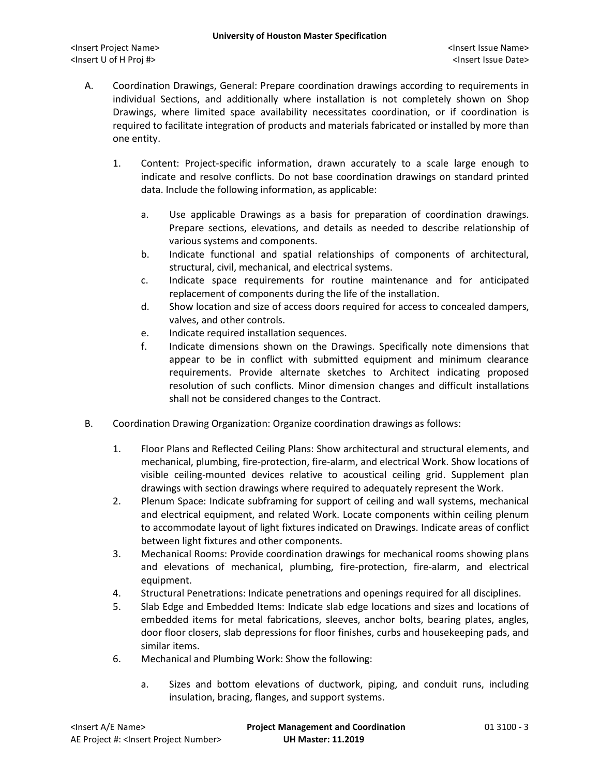- A. Coordination Drawings, General: Prepare coordination drawings according to requirements in individual Sections, and additionally where installation is not completely shown on Shop Drawings, where limited space availability necessitates coordination, or if coordination is required to facilitate integration of products and materials fabricated or installed by more than one entity.
	- 1. Content: Project-specific information, drawn accurately to a scale large enough to indicate and resolve conflicts. Do not base coordination drawings on standard printed data. Include the following information, as applicable:
		- a. Use applicable Drawings as a basis for preparation of coordination drawings. Prepare sections, elevations, and details as needed to describe relationship of various systems and components.
		- b. Indicate functional and spatial relationships of components of architectural, structural, civil, mechanical, and electrical systems.
		- c. Indicate space requirements for routine maintenance and for anticipated replacement of components during the life of the installation.
		- d. Show location and size of access doors required for access to concealed dampers, valves, and other controls.
		- e. Indicate required installation sequences.
		- f. Indicate dimensions shown on the Drawings. Specifically note dimensions that appear to be in conflict with submitted equipment and minimum clearance requirements. Provide alternate sketches to Architect indicating proposed resolution of such conflicts. Minor dimension changes and difficult installations shall not be considered changes to the Contract.
- B. Coordination Drawing Organization: Organize coordination drawings as follows:
	- 1. Floor Plans and Reflected Ceiling Plans: Show architectural and structural elements, and mechanical, plumbing, fire-protection, fire-alarm, and electrical Work. Show locations of visible ceiling-mounted devices relative to acoustical ceiling grid. Supplement plan drawings with section drawings where required to adequately represent the Work.
	- 2. Plenum Space: Indicate subframing for support of ceiling and wall systems, mechanical and electrical equipment, and related Work. Locate components within ceiling plenum to accommodate layout of light fixtures indicated on Drawings. Indicate areas of conflict between light fixtures and other components.
	- 3. Mechanical Rooms: Provide coordination drawings for mechanical rooms showing plans and elevations of mechanical, plumbing, fire-protection, fire-alarm, and electrical equipment.
	- 4. Structural Penetrations: Indicate penetrations and openings required for all disciplines.
	- 5. Slab Edge and Embedded Items: Indicate slab edge locations and sizes and locations of embedded items for metal fabrications, sleeves, anchor bolts, bearing plates, angles, door floor closers, slab depressions for floor finishes, curbs and housekeeping pads, and similar items.
	- 6. Mechanical and Plumbing Work: Show the following:
		- a. Sizes and bottom elevations of ductwork, piping, and conduit runs, including insulation, bracing, flanges, and support systems.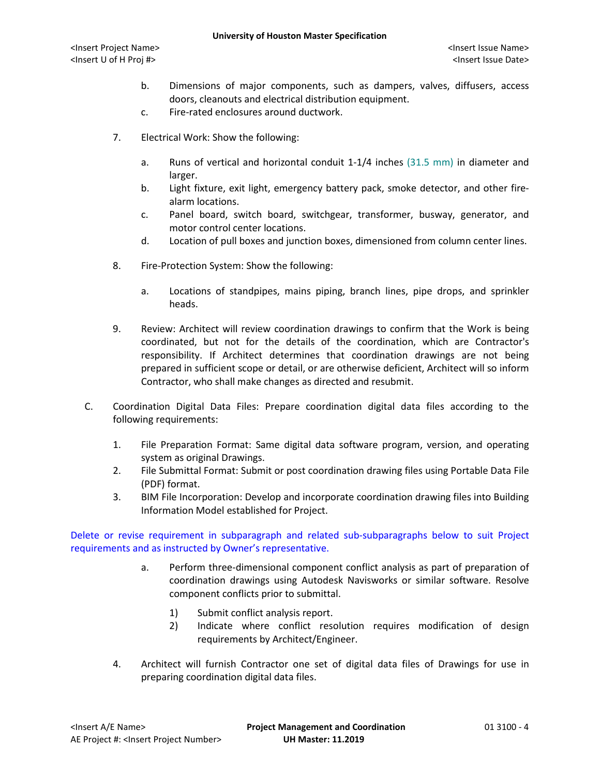- b. Dimensions of major components, such as dampers, valves, diffusers, access doors, cleanouts and electrical distribution equipment.
- c. Fire-rated enclosures around ductwork.
- 7. Electrical Work: Show the following:
	- a. Runs of vertical and horizontal conduit 1-1/4 inches (31.5 mm) in diameter and larger.
	- b. Light fixture, exit light, emergency battery pack, smoke detector, and other firealarm locations.
	- c. Panel board, switch board, switchgear, transformer, busway, generator, and motor control center locations.
	- d. Location of pull boxes and junction boxes, dimensioned from column center lines.
- 8. Fire-Protection System: Show the following:
	- a. Locations of standpipes, mains piping, branch lines, pipe drops, and sprinkler heads.
- 9. Review: Architect will review coordination drawings to confirm that the Work is being coordinated, but not for the details of the coordination, which are Contractor's responsibility. If Architect determines that coordination drawings are not being prepared in sufficient scope or detail, or are otherwise deficient, Architect will so inform Contractor, who shall make changes as directed and resubmit.
- C. Coordination Digital Data Files: Prepare coordination digital data files according to the following requirements:
	- 1. File Preparation Format: Same digital data software program, version, and operating system as original Drawings.
	- 2. File Submittal Format: Submit or post coordination drawing files using Portable Data File (PDF) format.
	- 3. BIM File Incorporation: Develop and incorporate coordination drawing files into Building Information Model established for Project.

Delete or revise requirement in subparagraph and related sub-subparagraphs below to suit Project requirements and as instructed by Owner's representative.

- a. Perform three-dimensional component conflict analysis as part of preparation of coordination drawings using Autodesk Navisworks or similar software. Resolve component conflicts prior to submittal.
	- 1) Submit conflict analysis report.
	- 2) Indicate where conflict resolution requires modification of design requirements by Architect/Engineer.
- 4. Architect will furnish Contractor one set of digital data files of Drawings for use in preparing coordination digital data files.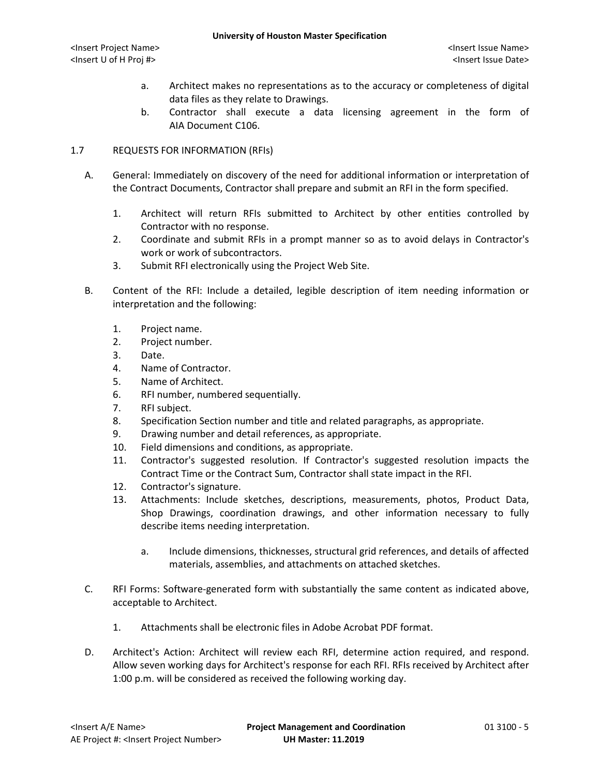- a. Architect makes no representations as to the accuracy or completeness of digital data files as they relate to Drawings.
- b. Contractor shall execute a data licensing agreement in the form of AIA Document C106.

# 1.7 REQUESTS FOR INFORMATION (RFIs)

- A. General: Immediately on discovery of the need for additional information or interpretation of the Contract Documents, Contractor shall prepare and submit an RFI in the form specified.
	- 1. Architect will return RFIs submitted to Architect by other entities controlled by Contractor with no response.
	- 2. Coordinate and submit RFIs in a prompt manner so as to avoid delays in Contractor's work or work of subcontractors.
	- 3. Submit RFI electronically using the Project Web Site.
- B. Content of the RFI: Include a detailed, legible description of item needing information or interpretation and the following:
	- 1. Project name.
	- 2. Project number.
	- 3. Date.
	- 4. Name of Contractor.
	- 5. Name of Architect.
	- 6. RFI number, numbered sequentially.
	- 7. RFI subject.
	- 8. Specification Section number and title and related paragraphs, as appropriate.
	- 9. Drawing number and detail references, as appropriate.
	- 10. Field dimensions and conditions, as appropriate.
	- 11. Contractor's suggested resolution. If Contractor's suggested resolution impacts the Contract Time or the Contract Sum, Contractor shall state impact in the RFI.
	- 12. Contractor's signature.
	- 13. Attachments: Include sketches, descriptions, measurements, photos, Product Data, Shop Drawings, coordination drawings, and other information necessary to fully describe items needing interpretation.
		- a. Include dimensions, thicknesses, structural grid references, and details of affected materials, assemblies, and attachments on attached sketches.
- C. RFI Forms: Software-generated form with substantially the same content as indicated above, acceptable to Architect.
	- 1. Attachments shall be electronic files in Adobe Acrobat PDF format.
- D. Architect's Action: Architect will review each RFI, determine action required, and respond. Allow seven working days for Architect's response for each RFI. RFIs received by Architect after 1:00 p.m. will be considered as received the following working day.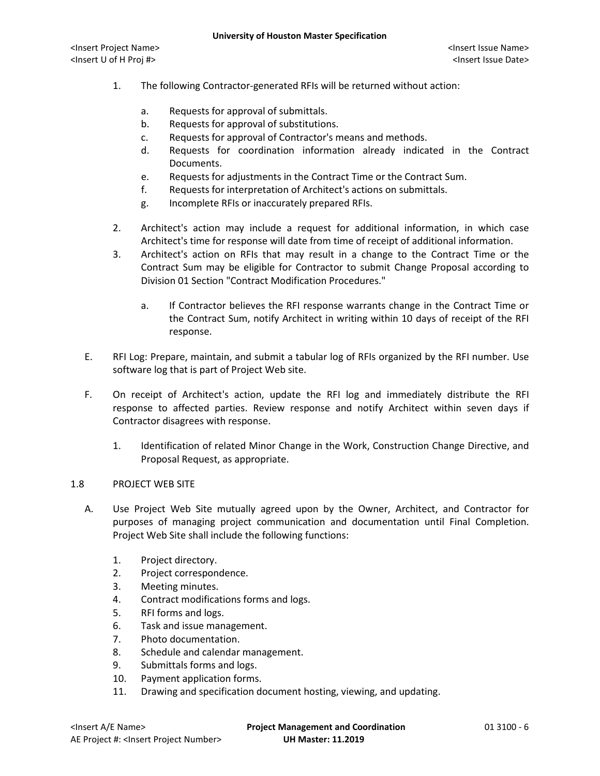- 1. The following Contractor-generated RFIs will be returned without action:
	- a. Requests for approval of submittals.
	- b. Requests for approval of substitutions.
	- c. Requests for approval of Contractor's means and methods.
	- d. Requests for coordination information already indicated in the Contract Documents.
	- e. Requests for adjustments in the Contract Time or the Contract Sum.
	- f. Requests for interpretation of Architect's actions on submittals.
	- g. Incomplete RFIs or inaccurately prepared RFIs.
- 2. Architect's action may include a request for additional information, in which case Architect's time for response will date from time of receipt of additional information.
- 3. Architect's action on RFIs that may result in a change to the Contract Time or the Contract Sum may be eligible for Contractor to submit Change Proposal according to Division 01 Section "Contract Modification Procedures."
	- a. If Contractor believes the RFI response warrants change in the Contract Time or the Contract Sum, notify Architect in writing within 10 days of receipt of the RFI response.
- E. RFI Log: Prepare, maintain, and submit a tabular log of RFIs organized by the RFI number. Use software log that is part of Project Web site.
- F. On receipt of Architect's action, update the RFI log and immediately distribute the RFI response to affected parties. Review response and notify Architect within seven days if Contractor disagrees with response.
	- 1. Identification of related Minor Change in the Work, Construction Change Directive, and Proposal Request, as appropriate.

### 1.8 PROJECT WEB SITE

- A. Use Project Web Site mutually agreed upon by the Owner, Architect, and Contractor for purposes of managing project communication and documentation until Final Completion. Project Web Site shall include the following functions:
	- 1. Project directory.
	- 2. Project correspondence.
	- 3. Meeting minutes.
	- 4. Contract modifications forms and logs.
	- 5. RFI forms and logs.
	- 6. Task and issue management.
	- 7. Photo documentation.
	- 8. Schedule and calendar management.
	- 9. Submittals forms and logs.
	- 10. Payment application forms.
	- 11. Drawing and specification document hosting, viewing, and updating.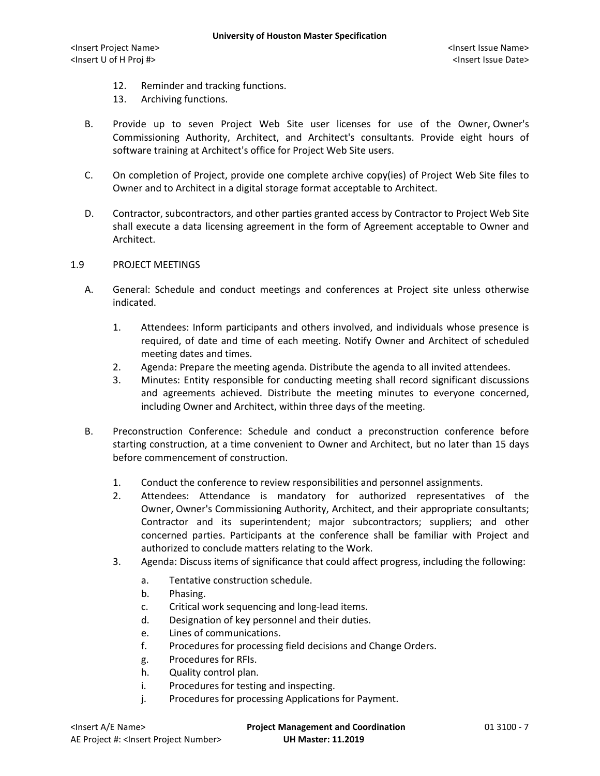- 12. Reminder and tracking functions.
- 13. Archiving functions.
- B. Provide up to seven Project Web Site user licenses for use of the Owner, Owner's Commissioning Authority, Architect, and Architect's consultants. Provide eight hours of software training at Architect's office for Project Web Site users.
- C. On completion of Project, provide one complete archive copy(ies) of Project Web Site files to Owner and to Architect in a digital storage format acceptable to Architect.
- D. Contractor, subcontractors, and other parties granted access by Contractor to Project Web Site shall execute a data licensing agreement in the form of Agreement acceptable to Owner and Architect.

# 1.9 PROJECT MEETINGS

- A. General: Schedule and conduct meetings and conferences at Project site unless otherwise indicated.
	- 1. Attendees: Inform participants and others involved, and individuals whose presence is required, of date and time of each meeting. Notify Owner and Architect of scheduled meeting dates and times.
	- 2. Agenda: Prepare the meeting agenda. Distribute the agenda to all invited attendees.
	- 3. Minutes: Entity responsible for conducting meeting shall record significant discussions and agreements achieved. Distribute the meeting minutes to everyone concerned, including Owner and Architect, within three days of the meeting.
- B. Preconstruction Conference: Schedule and conduct a preconstruction conference before starting construction, at a time convenient to Owner and Architect, but no later than 15 days before commencement of construction.
	- 1. Conduct the conference to review responsibilities and personnel assignments.
	- 2. Attendees: Attendance is mandatory for authorized representatives of the Owner, Owner's Commissioning Authority, Architect, and their appropriate consultants; Contractor and its superintendent; major subcontractors; suppliers; and other concerned parties. Participants at the conference shall be familiar with Project and authorized to conclude matters relating to the Work.
	- 3. Agenda: Discuss items of significance that could affect progress, including the following:
		- a. Tentative construction schedule.
		- b. Phasing.
		- c. Critical work sequencing and long-lead items.
		- d. Designation of key personnel and their duties.
		- e. Lines of communications.
		- f. Procedures for processing field decisions and Change Orders.
		- g. Procedures for RFIs.
		- h. Quality control plan.
		- i. Procedures for testing and inspecting.
		- j. Procedures for processing Applications for Payment.

<Insert A/E Name> **Project Management and Coordination** 01 3100 - 7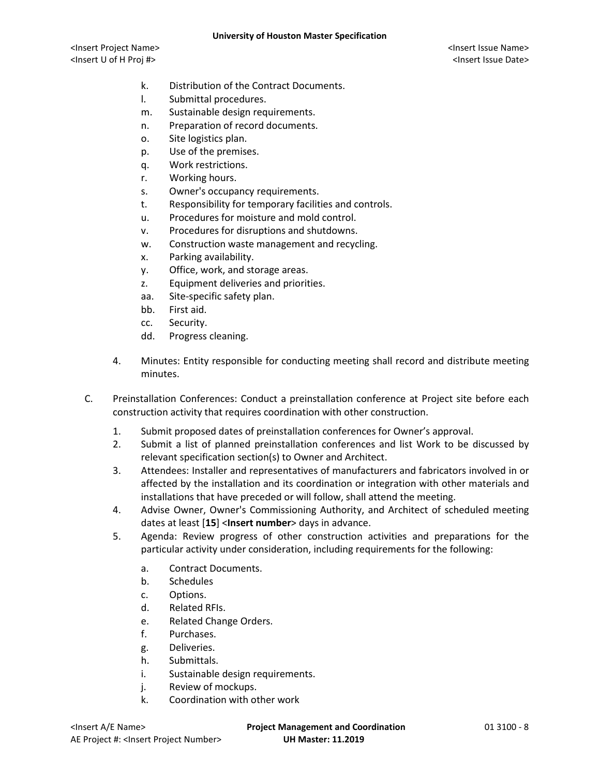- k. Distribution of the Contract Documents.
- l. Submittal procedures.
- m. Sustainable design requirements.
- n. Preparation of record documents.
- o. Site logistics plan.
- p. Use of the premises.
- q. Work restrictions.
- r. Working hours.
- s. Owner's occupancy requirements.
- t. Responsibility for temporary facilities and controls.
- u. Procedures for moisture and mold control.
- v. Procedures for disruptions and shutdowns.
- w. Construction waste management and recycling.
- x. Parking availability.
- y. Office, work, and storage areas.
- z. Equipment deliveries and priorities.
- aa. Site-specific safety plan.
- bb. First aid.
- cc. Security.
- dd. Progress cleaning.
- 4. Minutes: Entity responsible for conducting meeting shall record and distribute meeting minutes.
- C. Preinstallation Conferences: Conduct a preinstallation conference at Project site before each construction activity that requires coordination with other construction.
	- 1. Submit proposed dates of preinstallation conferences for Owner's approval.
	- 2. Submit a list of planned preinstallation conferences and list Work to be discussed by relevant specification section(s) to Owner and Architect.
	- 3. Attendees: Installer and representatives of manufacturers and fabricators involved in or affected by the installation and its coordination or integration with other materials and installations that have preceded or will follow, shall attend the meeting.
	- 4. Advise Owner, Owner's Commissioning Authority, and Architect of scheduled meeting dates at least [**15**] <**Insert number**> days in advance.
	- 5. Agenda: Review progress of other construction activities and preparations for the particular activity under consideration, including requirements for the following:
		- a. Contract Documents.
		- b. Schedules
		- c. Options.
		- d. Related RFIs.
		- e. Related Change Orders.
		- f. Purchases.
		- g. Deliveries.
		- h. Submittals.
		- i. Sustainable design requirements.
		- j. Review of mockups.
		- k. Coordination with other work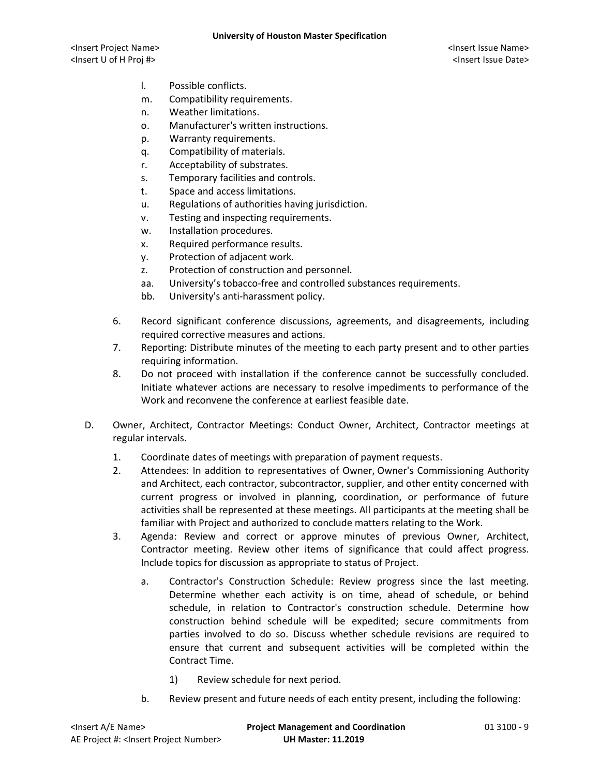- l. Possible conflicts.
- m. Compatibility requirements.
- n. Weather limitations.
- o. Manufacturer's written instructions.
- p. Warranty requirements.
- q. Compatibility of materials.
- r. Acceptability of substrates.
- s. Temporary facilities and controls.
- t. Space and access limitations.
- u. Regulations of authorities having jurisdiction.
- v. Testing and inspecting requirements.
- w. Installation procedures.
- x. Required performance results.
- y. Protection of adjacent work.
- z. Protection of construction and personnel.
- aa. University's tobacco-free and controlled substances requirements.
- bb. University's anti-harassment policy.
- 6. Record significant conference discussions, agreements, and disagreements, including required corrective measures and actions.
- 7. Reporting: Distribute minutes of the meeting to each party present and to other parties requiring information.
- 8. Do not proceed with installation if the conference cannot be successfully concluded. Initiate whatever actions are necessary to resolve impediments to performance of the Work and reconvene the conference at earliest feasible date.
- D. Owner, Architect, Contractor Meetings: Conduct Owner, Architect, Contractor meetings at regular intervals.
	- 1. Coordinate dates of meetings with preparation of payment requests.
	- 2. Attendees: In addition to representatives of Owner, Owner's Commissioning Authority and Architect, each contractor, subcontractor, supplier, and other entity concerned with current progress or involved in planning, coordination, or performance of future activities shall be represented at these meetings. All participants at the meeting shall be familiar with Project and authorized to conclude matters relating to the Work.
	- 3. Agenda: Review and correct or approve minutes of previous Owner, Architect, Contractor meeting. Review other items of significance that could affect progress. Include topics for discussion as appropriate to status of Project.
		- a. Contractor's Construction Schedule: Review progress since the last meeting. Determine whether each activity is on time, ahead of schedule, or behind schedule, in relation to Contractor's construction schedule. Determine how construction behind schedule will be expedited; secure commitments from parties involved to do so. Discuss whether schedule revisions are required to ensure that current and subsequent activities will be completed within the Contract Time.
			- 1) Review schedule for next period.
		- b. Review present and future needs of each entity present, including the following: